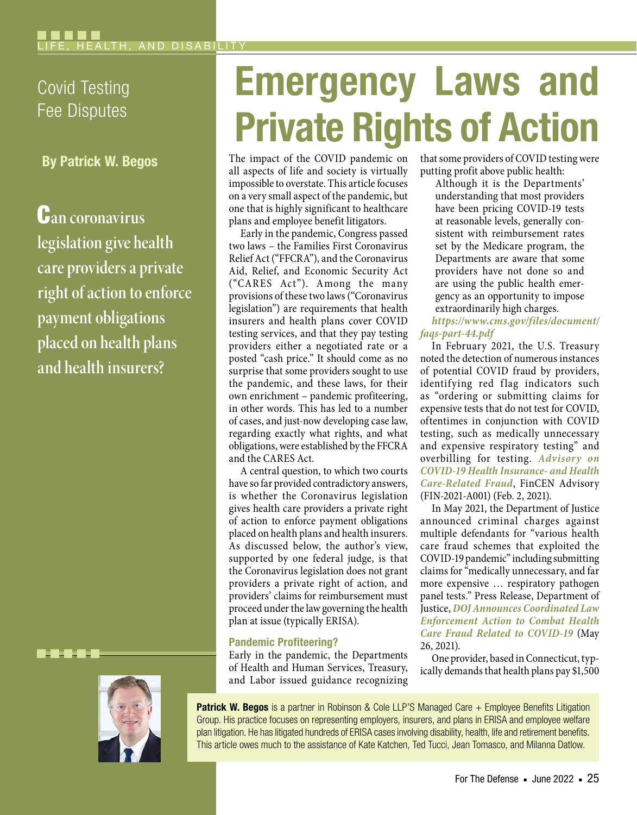## Covid Testing Fee Disputes

By Patrick W. Begos

C**an coronavirus legislation give health care providers a private right of action to enforce payment obligations placed on health plans and health insurers?**

. . .



# Emergency Laws and Private Rights of Action

The impact of the COVID pandemic on all aspects of life and society is virtually impossible to overstate. This article focuses on a very small aspect of the pandemic, but one that is highly significant to healthcare plans and employee benefit litigators.

Early in the pandemic, Congress passed two laws – the Families First Coronavirus Relief Act ("FFCRA"), and the Coronavirus Aid, Relief, and Economic Security Act ("CARES Act"). Among the many provisions of these two laws ("Coronavirus legislation") are requirements that health insurers and health plans cover COVID testing services, and that they pay testing providers either a negotiated rate or a posted "cash price." It should come as no surprise that some providers sought to use the pandemic, and these laws, for their own enrichment – pandemic profiteering, in other words. This has led to a number of cases, and just-now developing case law, regarding exactly what rights, and what obligations, were established by the FFCRA and the CARES Act.

A central question, to which two courts have so far provided contradictory answers, is whether the Coronavirus legislation gives health care providers a private right of action to enforce payment obligations placed on health plans and health insurers. As discussed below, the author's view, supported by one federal judge, is that the Coronavirus legislation does not grant providers a private right of action, and providers' claims for reimbursement must proceed under the law governing the health plan at issue (typically ERISA).

#### Pandemic Profiteering?

Early in the pandemic, the Departments of Health and Human Services, Treasury, and Labor issued guidance recognizing that some providers of COVID testing were putting profit above public health:

Although it is the Departments' understanding that most providers have been pricing COVID-19 tests at reasonable levels, generally consistent with reimbursement rates set by the Medicare program, the Departments are aware that some providers have not done so and are using the public health emergency as an opportunity to impose extraordinarily high charges.

#### *[https://www.cms.gov/files/document/](https://www.cms.gov/files/document/faqs-part-44.pdf) [faqs-part-44.pdf](https://www.cms.gov/files/document/faqs-part-44.pdf)*

In February 2021, the U.S. Treasury noted the detection of numerous instances of potential COVID fraud by providers, identifying red flag indicators such as "ordering or submitting claims for expensive tests that do not test for COVID, oftentimes in conjunction with COVID testing, such as medically unnecessary and expensive respiratory testing" and overbilling for testing. *[Advisory on](https://www.fincen.gov/sites/default/files/advisory/2021-02-02/COVID- 19 Health Care 508 Final.pdf)  [COVID-19 Health Insurance- and Health](https://www.fincen.gov/sites/default/files/advisory/2021-02-02/COVID- 19 Health Care 508 Final.pdf)  [Care-Related Fraud](https://www.fincen.gov/sites/default/files/advisory/2021-02-02/COVID- 19 Health Care 508 Final.pdf)*, FinCEN Advisory (FIN-2021-A001) (Feb. 2, 2021).

In May 2021, the Department of Justice announced criminal charges against multiple defendants for "various health care fraud schemes that exploited the COVID-19 pandemic" including submitting claims for "medically unnecessary, and far more expensive … respiratory pathogen panel tests." Press Release, Department of Justice, *[DOJ Announces Coordinated Law](https://www.justice.gov/opa/pr/doj-announces-coordinated-law-enforcement-action-combat-health-care-fraud-related-covid-19)  [Enforcement Action to Combat Health](https://www.justice.gov/opa/pr/doj-announces-coordinated-law-enforcement-action-combat-health-care-fraud-related-covid-19) [Care Fraud Related to COVID-19](https://www.justice.gov/opa/pr/doj-announces-coordinated-law-enforcement-action-combat-health-care-fraud-related-covid-19)* (May 26, 2021).

One provider, based in Connecticut, typically demands that health plans pay \$1,500

Patrick W. Begos is a partner in Robinson & Cole LLP'S Managed Care + Employee Benefits Litigation Group. His practice focuses on representing employers, insurers, and plans in ERISA and employee welfare plan litigation. He has litigated hundreds of ERISA cases involving disability, health, life and retirement benefits. This article owes much to the assistance of Kate Katchen, Ted Tucci, Jean Tomasco, and Milanna Datlow.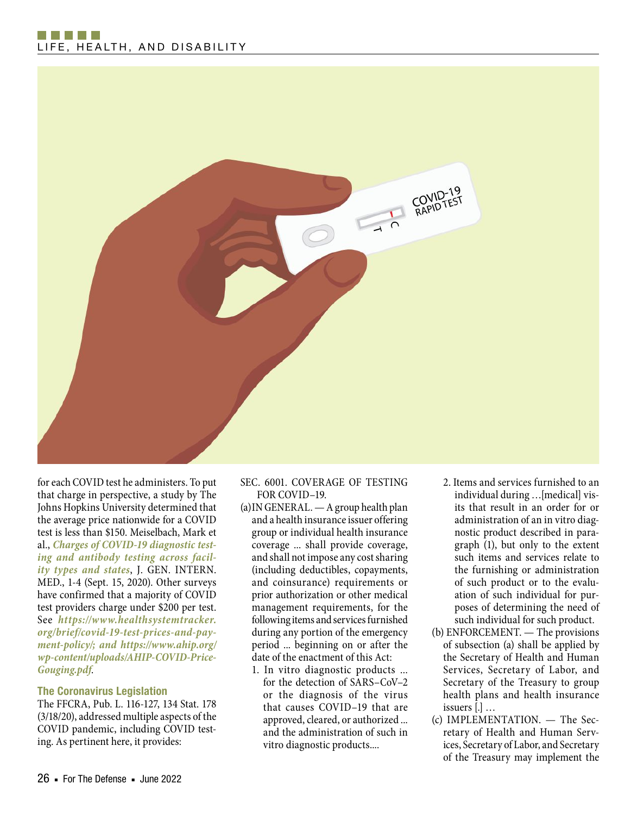### n na h-Alba LIFE, HEALTH, AND DISABILITY



for each COVID test he administers. To put that charge in perspective, a study by The Johns Hopkins University determined that the average price nationwide for a COVID test is less than \$150. Meiselbach, Mark et al., *[Charges of COVID-19 diagnostic test](https://www.ncbi.nlm.nih.gov/pmc/articles/PMC7491868/)[ing and antibody testing across facil](https://www.ncbi.nlm.nih.gov/pmc/articles/PMC7491868/)[ity types and states](https://www.ncbi.nlm.nih.gov/pmc/articles/PMC7491868/)*, J. GEN. INTERN. MED., 1-4 (Sept. 15, 2020). Other surveys have confirmed that a majority of COVID test providers charge under \$200 per test. See *[https://www.healthsystemtracker.](https://www.healthsystemtracker.org/brief/covid-19-test-prices-and-payment-policy/) [org/brief/covid-19-test-prices-and-pay](https://www.healthsystemtracker.org/brief/covid-19-test-prices-and-payment-policy/)[ment-policy/;](https://www.healthsystemtracker.org/brief/covid-19-test-prices-and-payment-policy/) and [https://www.ahip.org/](https://www.ahip.org/wp-content/uploads/AHIP-COVID-Price-Gouging.pdf) [wp-content/uploads/AHIP-COVID-Price-](https://www.ahip.org/wp-content/uploads/AHIP-COVID-Price-Gouging.pdf)[Gouging.pdf](https://www.ahip.org/wp-content/uploads/AHIP-COVID-Price-Gouging.pdf)*.

#### The Coronavirus Legislation

The FFCRA, Pub. L. 116-127, 134 Stat. 178 (3/18/20), addressed multiple aspects of the COVID pandemic, including COVID testing. As pertinent here, it provides:

#### SEC. 6001. COVERAGE OF TESTING FOR COVID–19.

- (a)IN GENERAL. A group health plan and a health insurance issuer offering group or individual health insurance coverage ... shall provide coverage, and shall not impose any cost sharing (including deductibles, copayments, and coinsurance) requirements or prior authorization or other medical management requirements, for the following items and services furnished during any portion of the emergency period ... beginning on or after the date of the enactment of this Act:
	- 1. In vitro diagnostic products ... for the detection of SARS–CoV–2 or the diagnosis of the virus that causes COVID–19 that are approved, cleared, or authorized ... and the administration of such in vitro diagnostic products....
- 2. Items and services furnished to an individual during …[medical] visits that result in an order for or administration of an in vitro diagnostic product described in paragraph (1), but only to the extent such items and services relate to the furnishing or administration of such product or to the evaluation of such individual for purposes of determining the need of such individual for such product.
- (b) ENFORCEMENT. The provisions of subsection (a) shall be applied by the Secretary of Health and Human Services, Secretary of Labor, and Secretary of the Treasury to group health plans and health insurance issuers [.] …
- (c) IMPLEMENTATION. The Secretary of Health and Human Services, Secretary of Labor, and Secretary of the Treasury may implement the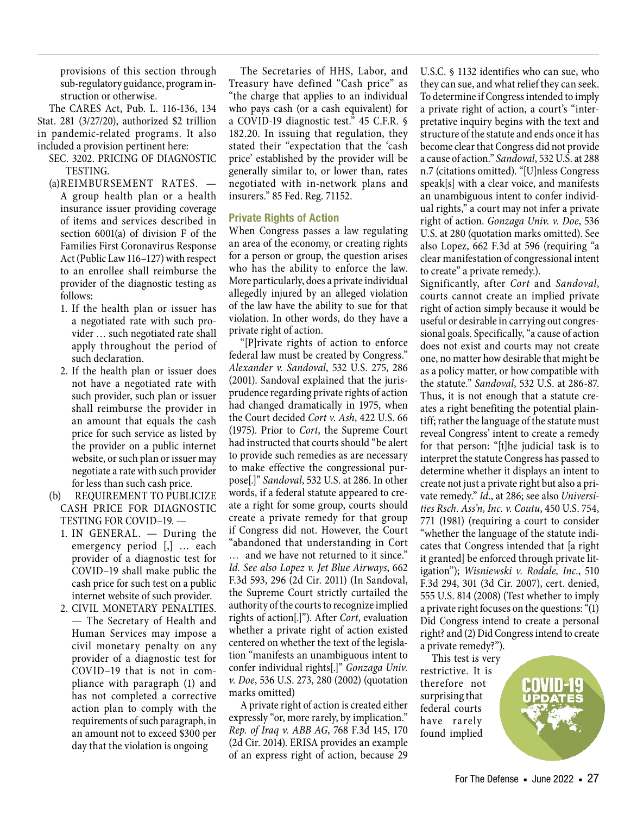provisions of this section through sub-regulatory guidance, program instruction or otherwise.

The CARES Act, Pub. L. 116-136, 134 Stat. 281 (3/27/20), authorized \$2 trillion in pandemic-related programs. It also included a provision pertinent here:

- SEC. 3202. PRICING OF DIAGNOSTIC TESTING.
- (a)REIMBURSEMENT RATES. A group health plan or a health insurance issuer providing coverage of items and services described in section 6001(a) of division F of the Families First Coronavirus Response Act (Public Law 116–127) with respect to an enrollee shall reimburse the provider of the diagnostic testing as follows:
	- 1. If the health plan or issuer has a negotiated rate with such provider … such negotiated rate shall apply throughout the period of such declaration.
	- 2. If the health plan or issuer does not have a negotiated rate with such provider, such plan or issuer shall reimburse the provider in an amount that equals the cash price for such service as listed by the provider on a public internet website, or such plan or issuer may negotiate a rate with such provider for less than such cash price.
- (b) REQUIREMENT TO PUBLICIZE CASH PRICE FOR DIAGNOSTIC TESTING FOR COVID–19. —
	- 1. IN GENERAL. During the emergency period [,] … each provider of a diagnostic test for COVID–19 shall make public the cash price for such test on a public internet website of such provider.
	- 2. CIVIL MONETARY PENALTIES. — The Secretary of Health and Human Services may impose a civil monetary penalty on any provider of a diagnostic test for COVID–19 that is not in compliance with paragraph (1) and has not completed a corrective action plan to comply with the requirements of such paragraph, in an amount not to exceed \$300 per day that the violation is ongoing

The Secretaries of HHS, Labor, and Treasury have defined "Cash price" as "the charge that applies to an individual who pays cash (or a cash equivalent) for a COVID-19 diagnostic test." 45 C.F.R. § 182.20. In issuing that regulation, they stated their "expectation that the 'cash price' established by the provider will be generally similar to, or lower than, rates negotiated with in-network plans and insurers." 85 Fed. Reg. 71152.

#### Private Rights of Action

When Congress passes a law regulating an area of the economy, or creating rights for a person or group, the question arises who has the ability to enforce the law. More particularly, does a private individual allegedly injured by an alleged violation of the law have the ability to sue for that violation. In other words, do they have a private right of action.

"[P]rivate rights of action to enforce federal law must be created by Congress." *Alexander v. Sandoval*, 532 U.S. 275, 286 (2001). Sandoval explained that the jurisprudence regarding private rights of action had changed dramatically in 1975, when the Court decided *Cort v. Ash*, 422 U.S. 66 (1975). Prior to *Cort*, the Supreme Court had instructed that courts should "be alert to provide such remedies as are necessary to make effective the congressional purpose[.]" *Sandoval*, 532 U.S. at 286. In other words, if a federal statute appeared to create a right for some group, courts should create a private remedy for that group if Congress did not. However, the Court "abandoned that understanding in Cort … and we have not returned to it since." *Id. See also Lopez v. Jet Blue Airways*, 662 F.3d 593, 296 (2d Cir. 2011) (In Sandoval, the Supreme Court strictly curtailed the authority of the courts to recognize implied rights of action[.]"). After *Cort*, evaluation whether a private right of action existed centered on whether the text of the legislation "manifests an unambiguous intent to confer individual rights[.]" *Gonzaga Univ. v. Doe*, 536 U.S. 273, 280 (2002) (quotation marks omitted)

A private right of action is created either expressly "or, more rarely, by implication." *Rep. of Iraq v. ABB AG*, 768 F.3d 145, 170 (2d Cir. 2014). ERISA provides an example of an express right of action, because 29

U.S.C. § 1132 identifies who can sue, who they can sue, and what relief they can seek. To determine if Congress intended to imply a private right of action, a court's "interpretative inquiry begins with the text and structure of the statute and ends once it has become clear that Congress did not provide a cause of action." *Sandoval*, 532 U.S. at 288 n.7 (citations omitted). "[U]nless Congress speak[s] with a clear voice, and manifests an unambiguous intent to confer individual rights," a court may not infer a private right of action. *Gonzaga Univ. v. Doe*, 536 U.S. at 280 (quotation marks omitted). See also Lopez, 662 F.3d at 596 (requiring "a clear manifestation of congressional intent to create" a private remedy.).

Significantly, after *Cort* and *Sandoval*, courts cannot create an implied private right of action simply because it would be useful or desirable in carrying out congressional goals. Specifically, "a cause of action does not exist and courts may not create one, no matter how desirable that might be as a policy matter, or how compatible with the statute." *Sandoval*, 532 U.S. at 286-87. Thus, it is not enough that a statute creates a right benefiting the potential plaintiff; rather the language of the statute must reveal Congress' intent to create a remedy for that person: "[t]he judicial task is to interpret the statute Congress has passed to determine whether it displays an intent to create not just a private right but also a private remedy." *Id*., at 286; see also *Universities Rsch. Ass'n, Inc. v. Coutu*, 450 U.S. 754, 771 (1981) (requiring a court to consider "whether the language of the statute indicates that Congress intended that [a right it granted] be enforced through private litigation"); *Wisniewski v. Rodale, Inc.*, 510 F.3d 294, 301 (3d Cir. 2007), cert. denied, 555 U.S. 814 (2008) (Test whether to imply a private right focuses on the questions: "(1) Did Congress intend to create a personal right? and (2) Did Congress intend to create a private remedy?").

This test is very restrictive. It is therefore not surprising that federal courts have rarely found implied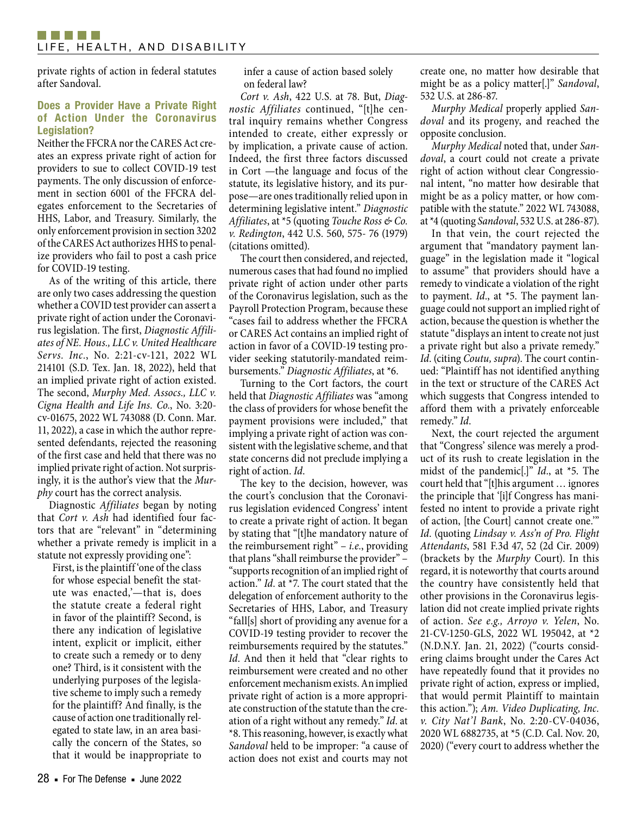private rights of action in federal statutes after Sandoval.

#### Does a Provider Have a Private Right of Action Under the Coronavirus Legislation?

Neither the FFCRA nor the CARES Act creates an express private right of action for providers to sue to collect COVID-19 test payments. The only discussion of enforcement in section 6001 of the FFCRA delegates enforcement to the Secretaries of HHS, Labor, and Treasury. Similarly, the only enforcement provision in section 3202 of the CARES Act authorizes HHS to penalize providers who fail to post a cash price for COVID-19 testing.

As of the writing of this article, there are only two cases addressing the question whether a COVID test provider can assert a private right of action under the Coronavirus legislation. The first, *Diagnostic Affiliates of NE. Hous., LLC v. United Healthcare Servs. Inc.*, No. 2:21-cv-121, 2022 WL 214101 (S.D. Tex. Jan. 18, 2022), held that an implied private right of action existed. The second, *Murphy Med. Assocs., LLC v. Cigna Health and Life Ins. Co.*, No. 3:20 cv-01675, 2022 WL 743088 (D. Conn. Mar. 11, 2022), a case in which the author represented defendants, rejected the reasoning of the first case and held that there was no implied private right of action. Not surprisingly, it is the author's view that the *Murphy* court has the correct analysis.

Diagnostic *Affiliates* began by noting that *Cort v. Ash* had identified four factors that are "relevant" in "determining whether a private remedy is implicit in a statute not expressly providing one":

First, is the plaintiff 'one of the class for whose especial benefit the statute was enacted,'—that is, does the statute create a federal right in favor of the plaintiff? Second, is there any indication of legislative intent, explicit or implicit, either to create such a remedy or to deny one? Third, is it consistent with the underlying purposes of the legislative scheme to imply such a remedy for the plaintiff? And finally, is the cause of action one traditionally relegated to state law, in an area basically the concern of the States, so that it would be inappropriate to

infer a cause of action based solely on federal law?

*Cort v. Ash*, 422 U.S. at 78. But, *Diagnostic Affiliates* continued, "[t]he central inquiry remains whether Congress intended to create, either expressly or by implication, a private cause of action. Indeed, the first three factors discussed in Cort —the language and focus of the statute, its legislative history, and its purpose—are ones traditionally relied upon in determining legislative intent." *Diagnostic Affiliates*, at \*5 (quoting *Touche Ross & Co. v. Redington*, 442 U.S. 560, 575- 76 (1979) (citations omitted).

The court then considered, and rejected, numerous cases that had found no implied private right of action under other parts of the Coronavirus legislation, such as the Payroll Protection Program, because these "cases fail to address whether the FFCRA or CARES Act contains an implied right of action in favor of a COVID-19 testing provider seeking statutorily-mandated reimbursements." *Diagnostic Affiliates*, at \*6.

Turning to the Cort factors, the court held that *Diagnostic Affiliates* was "among the class of providers for whose benefit the payment provisions were included," that implying a private right of action was consistent with the legislative scheme, and that state concerns did not preclude implying a right of action. *Id*.

The key to the decision, however, was the court's conclusion that the Coronavirus legislation evidenced Congress' intent to create a private right of action. It began by stating that "[t]he mandatory nature of the reimbursement right" – *i.e.*, providing that plans "shall reimburse the provider" – "supports recognition of an implied right of action." *Id*. at \*7. The court stated that the delegation of enforcement authority to the Secretaries of HHS, Labor, and Treasury "fall[s] short of providing any avenue for a COVID-19 testing provider to recover the reimbursements required by the statutes." *Id*. And then it held that "clear rights to reimbursement were created and no other enforcement mechanism exists. An implied private right of action is a more appropriate construction of the statute than the creation of a right without any remedy." *Id*. at \*8. This reasoning, however, is exactly what *Sandoval* held to be improper: "a cause of action does not exist and courts may not create one, no matter how desirable that might be as a policy matter[.]" *Sandoval*, 532 U.S. at 286-87.

*Murphy Medical* properly applied *Sandoval* and its progeny, and reached the opposite conclusion.

*Murphy Medical* noted that, under *Sandoval*, a court could not create a private right of action without clear Congressional intent, "no matter how desirable that might be as a policy matter, or how compatible with the statute." 2022 WL 743088, at \*4 (quoting *Sandoval*, 532 U.S. at 286-87).

In that vein, the court rejected the argument that "mandatory payment language" in the legislation made it "logical to assume" that providers should have a remedy to vindicate a violation of the right to payment. *Id*., at \*5. The payment language could not support an implied right of action, because the question is whether the statute "displays an intent to create not just a private right but also a private remedy." *Id*. (citing *Coutu, supra*). The court continued: "Plaintiff has not identified anything in the text or structure of the CARES Act which suggests that Congress intended to afford them with a privately enforceable remedy." *Id*.

Next, the court rejected the argument that "Congress' silence was merely a product of its rush to create legislation in the midst of the pandemic[.]" *Id*., at \*5. The court held that "[t]his argument … ignores the principle that '[i]f Congress has manifested no intent to provide a private right of action, [the Court] cannot create one.'" *Id*. (quoting *Lindsay v. Ass'n of Pro. Flight Attendants*, 581 F.3d 47, 52 (2d Cir. 2009) (brackets by the *Murphy* Court). In this regard, it is noteworthy that courts around the country have consistently held that other provisions in the Coronavirus legislation did not create implied private rights of action. *See e.g., Arroyo v. Yelen*, No. 21-CV-1250-GLS, 2022 WL 195042, at \*2 (N.D.N.Y. Jan. 21, 2022) ("courts considering claims brought under the Cares Act have repeatedly found that it provides no private right of action, express or implied, that would permit Plaintiff to maintain this action."); *Am. Video Duplicating, Inc. v. City Nat'l Bank*, No. 2:20-CV-04036, 2020 WL 6882735, at \*5 (C.D. Cal. Nov. 20, 2020) ("every court to address whether the